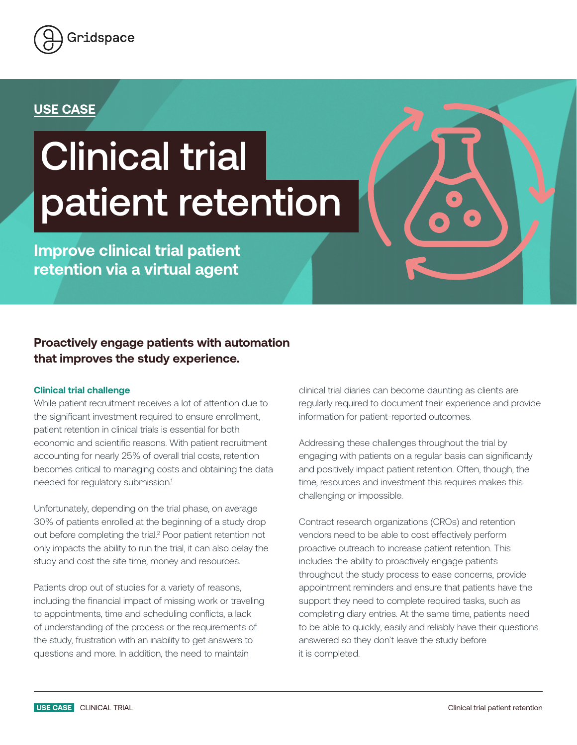

## **USE CASE**

# Clinical trial patient retention

**Improve clinical trial patient retention via a virtual agent** 

### **Proactively engage patients with automation that improves the study experience.**

#### **Clinical trial challenge**

While patient recruitment receives a lot of attention due to the significant investment required to ensure enrollment, patient retention in clinical trials is essential for both economic and scientific reasons. With patient recruitment accounting for nearly 25% of overall trial costs, retention becomes critical to managing costs and obtaining the data needed for regulatory submission.<sup>1</sup>

Unfortunately, depending on the trial phase, on average 30% of patients enrolled at the beginning of a study drop out before completing the trial.<sup>2</sup> Poor patient retention not only impacts the ability to run the trial, it can also delay the study and cost the site time, money and resources.

Patients drop out of studies for a variety of reasons, including the financial impact of missing work or traveling to appointments, time and scheduling conflicts, a lack of understanding of the process or the requirements of the study, frustration with an inability to get answers to questions and more. In addition, the need to maintain

clinical trial diaries can become daunting as clients are regularly required to document their experience and provide information for patient-reported outcomes.

Addressing these challenges throughout the trial by engaging with patients on a regular basis can significantly and positively impact patient retention. Often, though, the time, resources and investment this requires makes this challenging or impossible.

Contract research organizations (CROs) and retention vendors need to be able to cost effectively perform proactive outreach to increase patient retention. This includes the ability to proactively engage patients throughout the study process to ease concerns, provide appointment reminders and ensure that patients have the support they need to complete required tasks, such as completing diary entries. At the same time, patients need to be able to quickly, easily and reliably have their questions answered so they don't leave the study before it is completed.